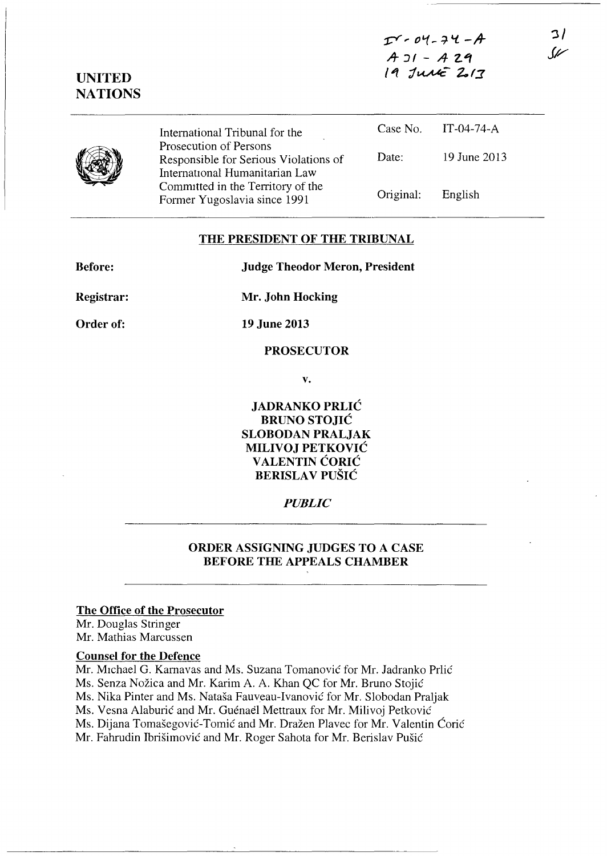$I - 04 - 74 - A$  $A_3I - A_2A$  $19$  *June* 2017

**':3/**  *11/* 

|  | International Tribunal for the                                                                    |           | Case No. IT-04-74-A |
|--|---------------------------------------------------------------------------------------------------|-----------|---------------------|
|  | Prosecution of Persons<br>Responsible for Serious Violations of<br>International Humanitarian Law | Date:     | 19 June 2013        |
|  | Committed in the Territory of the<br>Former Yugoslavia since 1991                                 | Original: | English             |

## **THE PRESIDENT OF THE TRIBUNAL**

| <b>Before:</b>    | <b>Judge Theodor Meron, President</b> |  |
|-------------------|---------------------------------------|--|
| <b>Registrar:</b> | Mr. John Hocking                      |  |
| Order of:         | 19 June 2013                          |  |
|                   | <b>PROSECUTOR</b>                     |  |
|                   | v.                                    |  |

**JADRANKO PRLIC BRUNOSTOJIC SLOBODAN PRALJAK MILIVOJ PETKOVIC VALENTIN CORIC BERISLA V PUSIC** 

# *PUBLIC*

# **ORDER ASSIGNING JUDGES TO A CASE BEFORE THE APPEALS CHAMBER**

#### **The Office of the Prosecutor**

Mr. Douglas Stringer Mr. Mathias Marcussen

**UNITED NATIONS** 

## **Counsel for the Defence**

Mr. Michael G. Karnavas and Ms. Suzana Tomanović for Mr. Jadranko Prlić Ms. Senza Nožica and Mr. Karim A. A. Khan QC for Mr. Bruno Stojić Ms. Nika Pinter and Ms. Natasa Fauveau-Ivanovie for Mr. Slobodan Praljak Ms. Vesna Alaburić and Mr. Guénael Mettraux for Mr. Milivoj Petković Ms. Dijana Tomašegović-Tomić and Mr. Dražen Plavec for Mr. Valentin Ćorić Mr. Fahrudin Ibrišimović and Mr. Roger Sahota for Mr. Berislav Pušić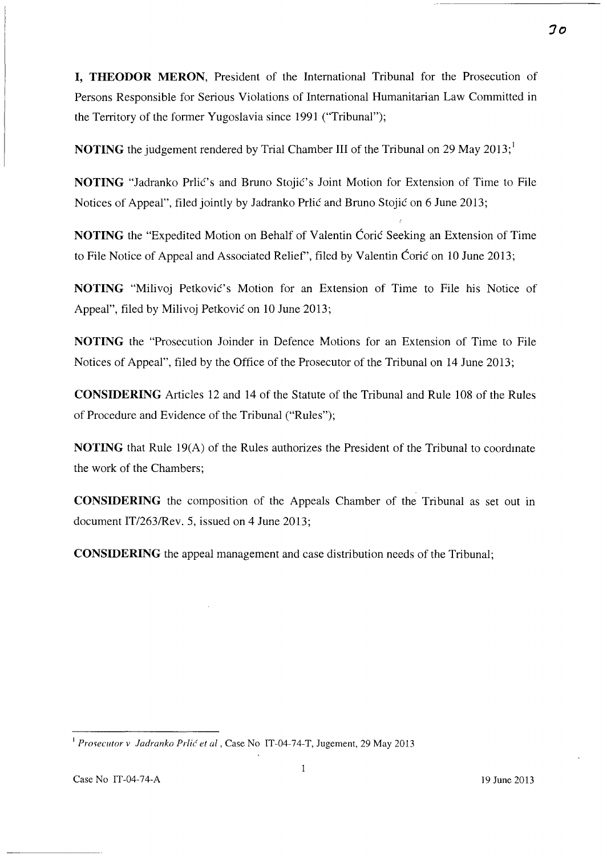**I, THEODOR MERON,** President of the International Tribunal for the Prosecution of Persons Responsible for Serious Violations of International Humanitarian Law Committed in the Territory of the former Yugoslavia since 1991 ("Tribunal");

**NOTING** the judgement rendered by Trial Chamber III of the Tribunal on 29 May 2013;<sup>1</sup>

**NOTING** "Jadranko Prlić's and Bruno Stojić's Joint Motion for Extension of Time to File Notices of Appeal", filed jointly by Jadranko Prlić and Bruno Stojić on 6 June 2013;

**NOTING** the "Expedited Motion on Behalf of Valentin Coric Seeking an Extension of Time to File Notice of Appeal and Associated Relief", filed by Valentin Ćorić on 10 June 2013;

**NOTING** "Milivoj Petković's Motion for an Extension of Time to File his Notice of Appeal", filed by Milivoj Petković on 10 June 2013;

**NOTING** the "Prosecution Joinder in Defence Motions for an Extension of Time to File Notices of Appeal", filed by the Office of the Prosecutor of the Tribunal on 14 June 2013;

**CONSIDERING** Articles 12 and 14 of the Statute of the Tribunal and Rule 108 of the Rules of Procedure and Evidence of the Tribunal ("Rules");

**NOTING** that Rule 19(A) of the Rules authorizes the President of the Tribunal to coordmate the work of the Chambers;

**CONSIDERING** the composition of the Appeals Chamber of the Tribunal as set out in document IT/263/Rev. 5, issued on 4 June 2013;

**CONSIDERING** the appeal management and case distribution needs of the Tribunal;

<sup>&</sup>lt;sup>1</sup> Prosecutor v Jadranko Prlić et al, Case No IT-04-74-T, Jugement, 29 May 2013